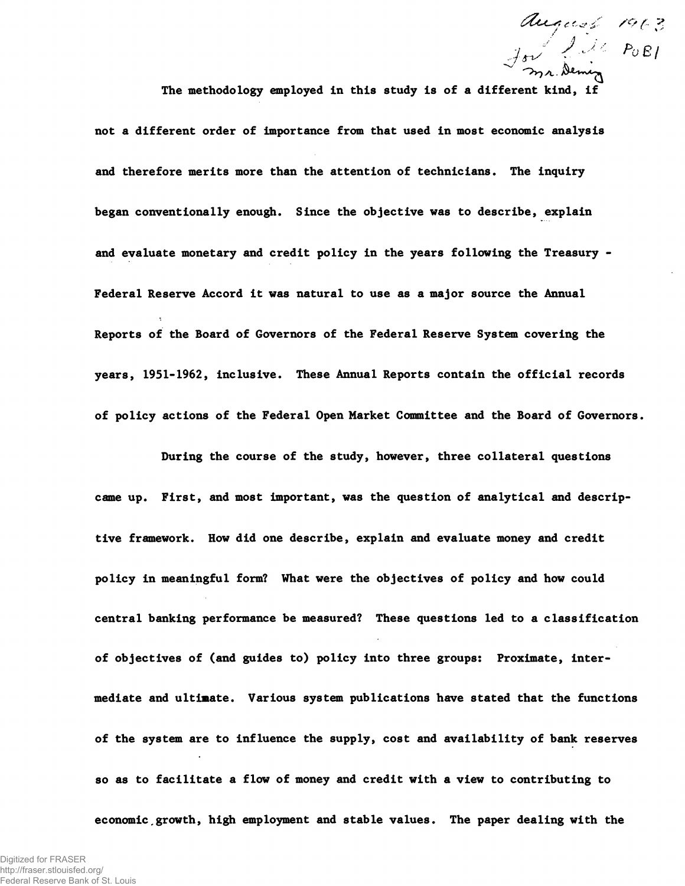*/Of* **?** v " ' ' **' ^ j A .**

The methodology employed in this study is of a different kind

**not a different order of importance from that used in most economic analysis and therefore merits more than the attention of technicians. The inquiry began conventionally enough. Since the objective was to describe, explain and evaluate monetary and credit policy in the years following the Treasury - Federal Reserve Accord it was natural to use as a major source the Annual Reports of the Board of Governors of the Federal Reserve System covering the years, 1951-1962, inclusive. These Annual Reports contain the official records of policy actions of the Federal Open Market Committee and the Board of Governors.**

**During the course of the study, however, three collateral questions came up. First, and most important, was the question of analytical and descriptive framework. How did one describe, explain and evaluate money and credit policy in meaningful form? What were the objectives of policy and how could central banking performance be measured? These questions led to a classification of objectives of (and guides to) policy into three groups: Proximate, intermediate and ultimate. Various system publications have stated that the functions of the system are to influence the supply, cost and availability of bank reserves so as to facilitate a flow of money and credit with a view to contributing to economic.growth, high employment and stable values. The paper dealing with the**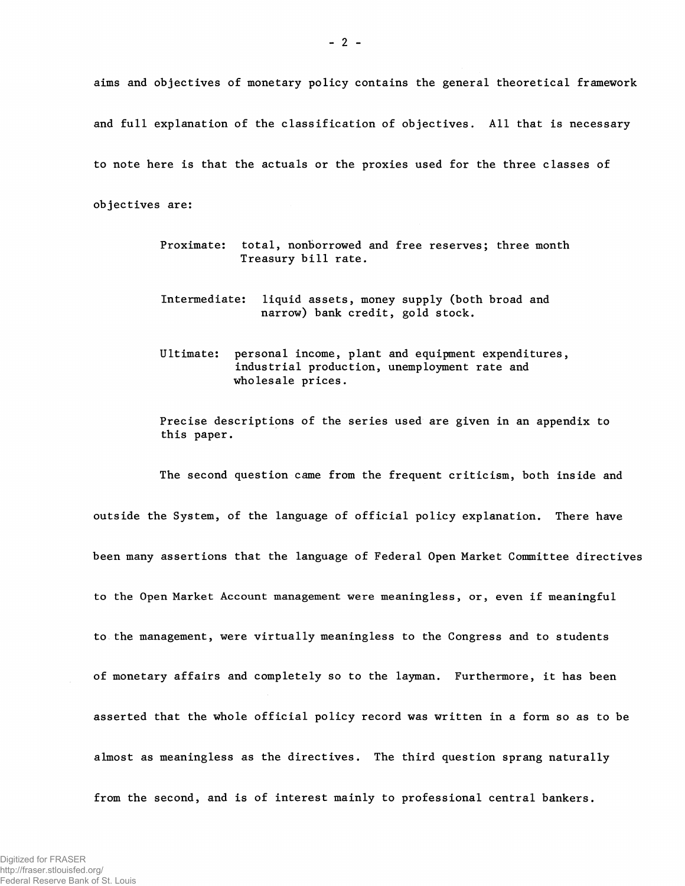aims and objectives of monetary policy contains the general theoretical framework and full explanation of the classification of objectives. All that is necessary to note here is that the actuals or the proxies used for the three classes of

objectives are:

- Proximate: total, nonborrowed and free reserves; three month Treasury bill rate.
- Intermediate: liquid assets, money supply (both broad and narrow) bank credit, gold stock.
- Ultimate: personal income, plant and equipment expenditures, industrial production, unemployment rate and wholesale prices.

Precise descriptions of the series used are given in an appendix to this paper.

The second question came from the frequent criticism, both inside and outside the System, of the language of official policy explanation. There have been many assertions that the language of Federal Open Market Committee directives to the Open Market Account management were meaningless, or, even if meaningful to the management, were virtually meaningless to the Congress and to students of monetary affairs and completely so to the layman. Furthermore, it has been asserted that the whole official policy record was written in a form so as to be almost as meaningless as the directives. The third question sprang naturally from the second, and is of interest mainly to professional central bankers.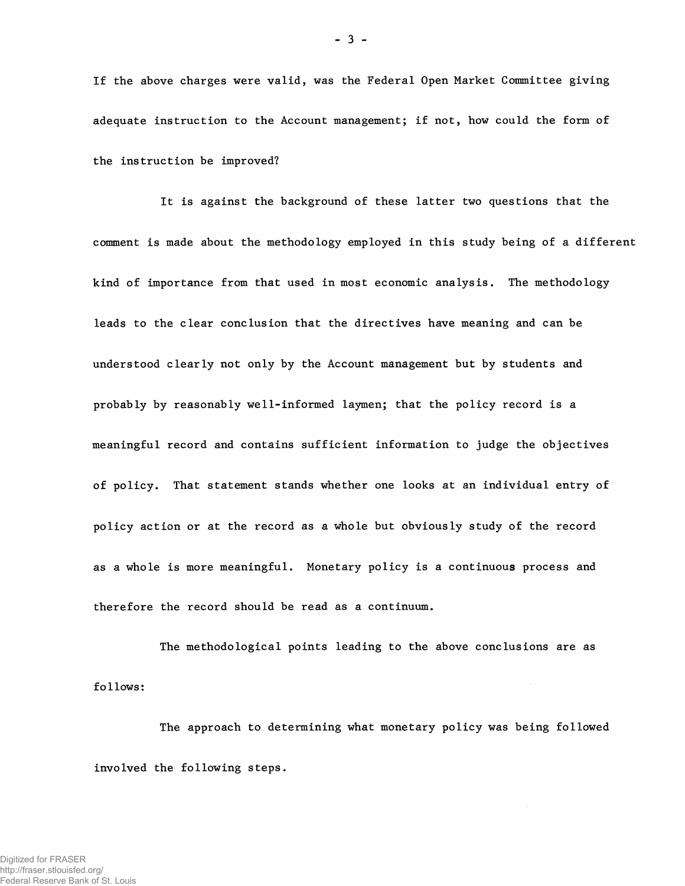If the above charges were valid, was the Federal Open Market Committee giving adequate instruction to the Account management; if not, how could the form of the instruction be improved?

It is against the background of these latter two questions that the comment is made about the methodology employed in this study being of a different kind of importance from that used in most economic analysis. The methodology leads to the clear conclusion that the directives have meaning and can be understood clearly not only by the Account management but by students and probably by reasonably well-informed laymen; that the policy record is a meaningful record and contains sufficient information to judge the objectives of policy. That statement stands whether one looks at an individual entry of policy action or at the record as a whole but obviously study of the record as a whole is more meaningful. Monetary policy is a continuous process and therefore the record should be read as a continuum.

The methodological points leading to the above conclusions are as follows:

The approach to determining what monetary policy was being followed involved the following steps.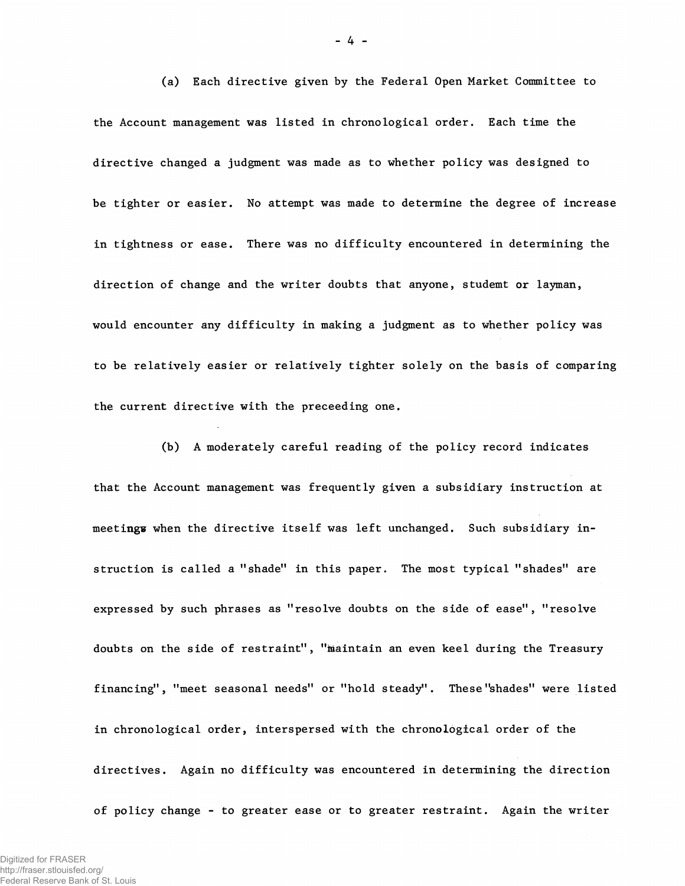(a) Each directive given by the Federal Open Market Committee to the Account management was listed in chronological order. Each time the directive changed a judgment was made as to whether policy was designed to be tighter or easier. No attempt was made to determine the degree of increase in tightness or ease. There was no difficulty encountered in determining the direction of change and the writer doubts that anyone, studemt or layman, would encounter any difficulty in making a judgment as to whether policy was to be relatively easier or relatively tighter solely on the basis of comparing the current directive with the preceeding one.

(b) A moderately careful reading of the policy record indicates that the Account management was frequently given a subsidiary instruction at meetings when the directive itself was left unchanged. Such subsidiary instruction is called a "shade" in this paper. The most typical "shades" are expressed by such phrases as "resolve doubts on the side of ease", "resolve doubts on the side of restraint", "maintain an even keel during the Treasury financing", "meet seasonal needs" or "hold steady". These "shades" were listed in chronological order, interspersed with the chronological order of the directives. Again no difficulty was encountered in determining the direction of policy change - to greater ease or to greater restraint. Again the writer

**- 4 -**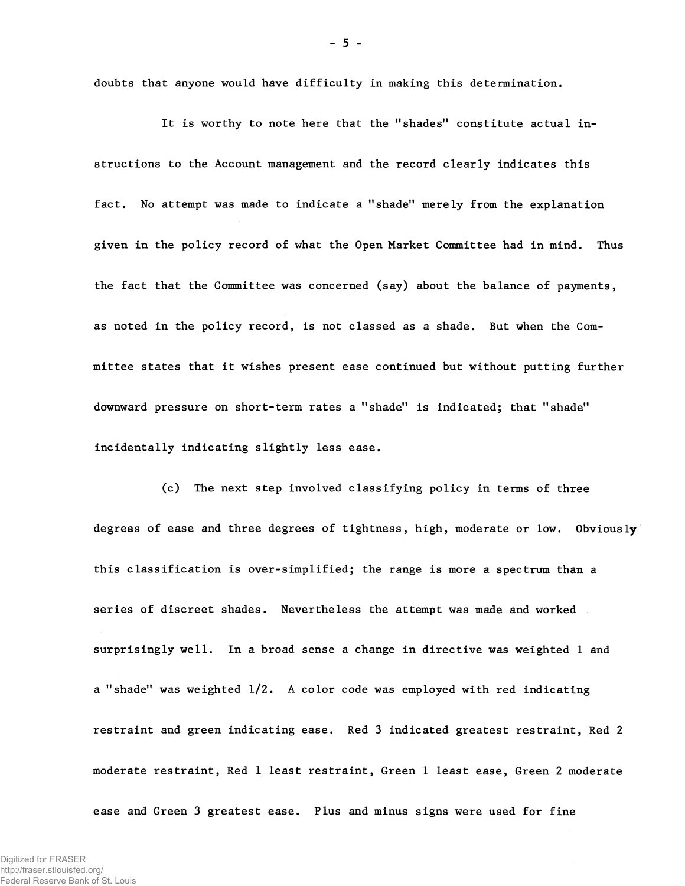doubts that anyone would have difficulty in making this determination.

It is worthy to note here that the "shades" constitute actual instructions to the Account management and the record clearly indicates this fact. No attempt was made to indicate a "shade" merely from the explanation given in the policy record of what the Open Market Committee had in mind. Thus the fact that the Committee was concerned (say) about the balance of payments, as noted in the policy record, is not classed as a shade. But when the Committee states that it wishes present ease continued but without putting further downward pressure on short-term rates a "shade" is indicated; that "shade" incidentally indicating slightly less ease.

(c) The next step involved classifying policy in terms of three degrees of ease and three degrees of tightness, high, moderate or low. Obviously this classification is over-simplified; the range is more a spectrum than a series of discreet shades. Nevertheless the attempt was made and worked surprisingly well. In a broad sense a change in directive was weighted 1 and a "shade" was weighted 1/2. A color code was employed with red indicating restraint and green indicating ease. Red 3 indicated greatest restraint, Red 2 moderate restraint, Red 1 least restraint, Green 1 least ease, Green 2 moderate ease and Green 3 greatest ease. Plus and minus signs were used for fine

 $-5 -$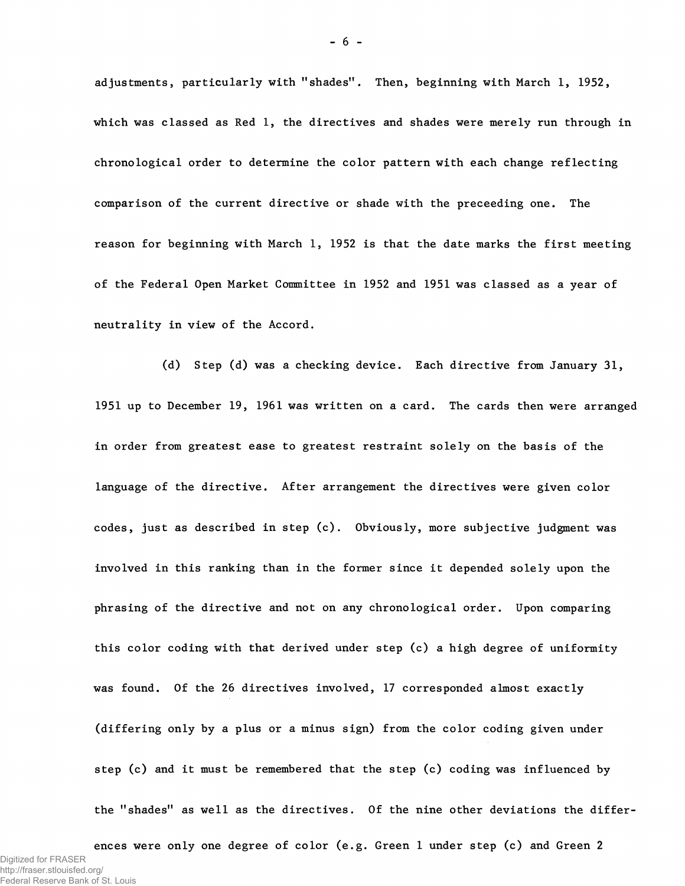adjustments, particularly with "shades". Then, beginning with March 1, 1952, which was classed as Red 1, the directives and shades were merely run through in chronological order to determine the color pattern with each change reflecting comparison of the current directive or shade with the preceeding one. The reason for beginning with March 1, 1952 is that the date marks the first meeting of the Federal Open Market Committee in 1952 and 1951 was classed as a year of neutrality in view of the Accord.

(d) Step (d) was a checking device. Each directive from January 31, 1951 up to December 19, 1961 was written on a card. The cards then were arranged in order from greatest ease to greatest restraint solely on the basis of the language of the directive. After arrangement the directives were given color codes, just as described in step (c). Obviously, more subjective judgment was involved in this ranking than in the former since it depended solely upon the phrasing of the directive and not on any chronological order. Upon comparing this color coding with that derived under step (c) a high degree of uniformity was found. Of the 26 directives involved, 17 corresponded almost exactly (differing only by a plus or a minus sign) from the color coding given under step (c) and it must be remembered that the step (c) coding was influenced by the "shades" as well as the directives. Of the nine other deviations the differ-

ences were only one degree of color (e.g. Green 1 under step (c) and Green 2 Digitized for FRASER http://fraser.stlouisfed.org/ Federal Reserve Bank of St. Louis

- 6 -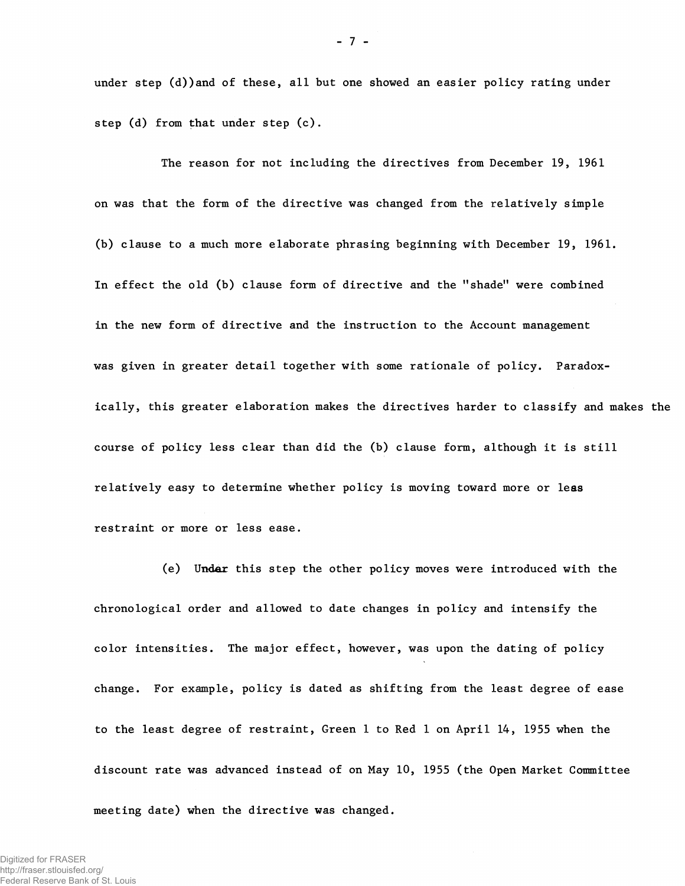under step (d))and of these, all but one showed an easier policy rating under step (d) from that under step (c).

The reason for not including the directives from December 19, 1961 on was that the form of the directive was changed from the relatively simple (b) clause to a much more elaborate phrasing beginning with December 19, 1961. In effect the old (b) clause form of directive and the "shade" were combined in the new form of directive and the instruction to the Account management was given in greater detail together with some rationale of policy. Paradoxically, this greater elaboration makes the directives harder to classify and makes the course of policy less clear than did the (b) clause form, although it is still relatively easy to determine whether policy is moving toward more or leas restraint or more or less ease.

(e) Undar this step the other policy moves were introduced with the chronological order and allowed to date changes in policy and intensify the color intensities. The major effect, however, was upon the dating of policy change. For example, policy is dated as shifting from the least degree of ease to the least degree of restraint, Green 1 to Red 1 on April 14, 1955 when the discount rate was advanced instead of on May 10, 1955 (the Open Market Committee meeting date) when the directive was changed.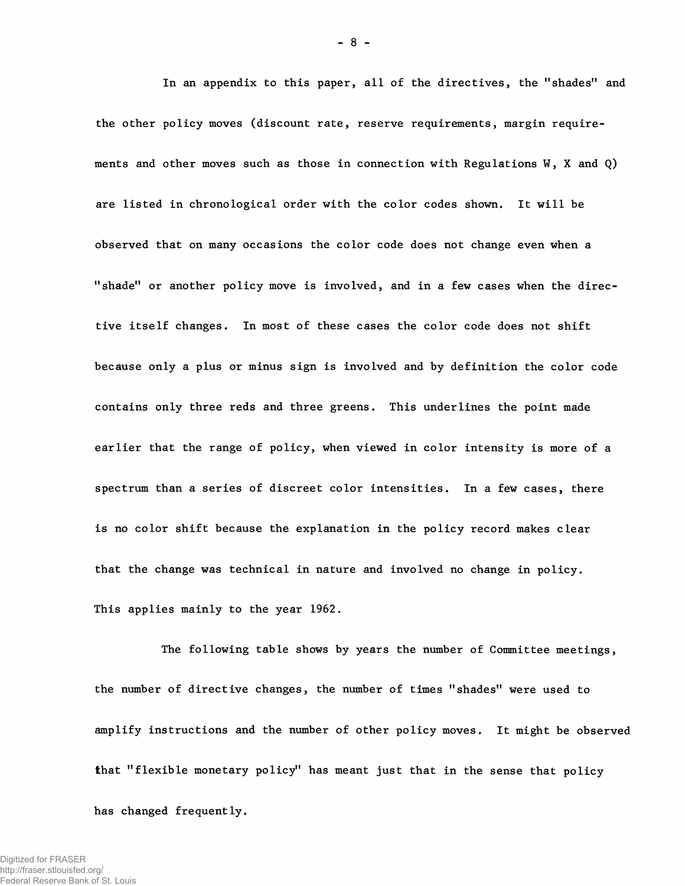In an appendix to this paper, all of the directives, the "shades" and the other policy moves (discount rate, reserve requirements, margin requirements and other moves such as those in connection with Regulations W, X and Q) are listed in chronological order with the color codes shown. It will be observed that on many occasions the color code does not change even when a "shade" or another policy move is involved, and in a few cases when the directive itself changes. In most of these cases the color code does not shift because only a plus or minus sign is involved and by definition the color code contains only three reds and three greens. This underlines the point made earlier that the range of policy, when viewed in color intensity is more of a spectrum than a series of discreet color intensities. In a few cases, there is no color shift because the explanation in the policy record makes clear that the change was technical in nature and involved no change in policy. This applies mainly to the year 1962.

The following table shows by years the number of Committee meetings, the number of directive changes, the number of times "shades" were used to amplify instructions and the number of other policy moves. It might be observed that "flexible monetary policy" has meant just that in the sense that policy has changed frequently.

- 8 -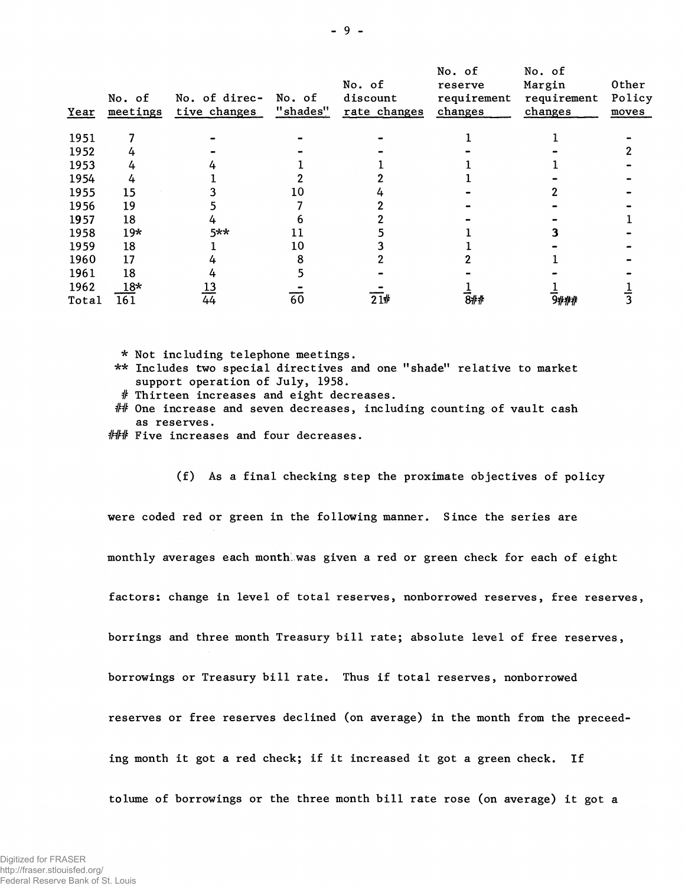| Year  | No. of<br>meetings | No. of direc-<br>tive changes | No. of<br>"shades" | No. of<br>discount<br>rate changes | No. of<br>reserve<br>requirement<br>changes | No. of<br>Margin<br>requirement<br>changes | 0ther<br>Policy<br>moves |
|-------|--------------------|-------------------------------|--------------------|------------------------------------|---------------------------------------------|--------------------------------------------|--------------------------|
| 1951  |                    |                               |                    |                                    |                                             |                                            |                          |
| 1952  |                    |                               |                    |                                    |                                             |                                            |                          |
| 1953  |                    |                               |                    |                                    |                                             |                                            |                          |
| 1954  |                    |                               |                    |                                    |                                             |                                            |                          |
| 1955  | 15                 |                               |                    |                                    |                                             |                                            |                          |
| 1956  | 19                 |                               |                    |                                    |                                             |                                            |                          |
| 1957  | 18                 |                               |                    |                                    |                                             |                                            |                          |
| 1958  | $19*$              | 5**                           |                    |                                    |                                             |                                            |                          |
| 1959  | 18                 |                               | 10                 |                                    |                                             |                                            |                          |
| 1960  | 17                 |                               |                    |                                    |                                             |                                            |                          |
| 1961  | 18                 |                               |                    |                                    |                                             |                                            |                          |
| 1962  | $18*$              | $\frac{13}{44}$               |                    |                                    |                                             |                                            |                          |
| Total | 161                |                               | 60                 | $\overline{21}$ #                  | 8##                                         | 9###                                       |                          |

\* Not including telephone meetings.

- \*\* Includes two special directives and one "shade" relative to market support operation of July, 1958.
- # Thirteen increases and eight decreases.
- ## One increase and seven decreases, including counting of vault cash as reserves.
- ### Five increases and four decreases.

(f) As a final checking step the proximate objectives of policy

were coded red or green in the following manner. Since the series are

monthly averages each month'was given a red or green check for each of eight

factors; change in level of total reserves, nonborrowed reserves, free reserves,

borrings and three month Treasury bill rate; absolute level of free reserves,

borrowings or Treasury bill rate. Thus if total reserves, nonborrowed

reserves or free reserves declined (on average) in the month from the preceed-

ing month it got a red check; if it increased it got a green check. If

tolume of borrowings or the three month bill rate rose (on average) it got a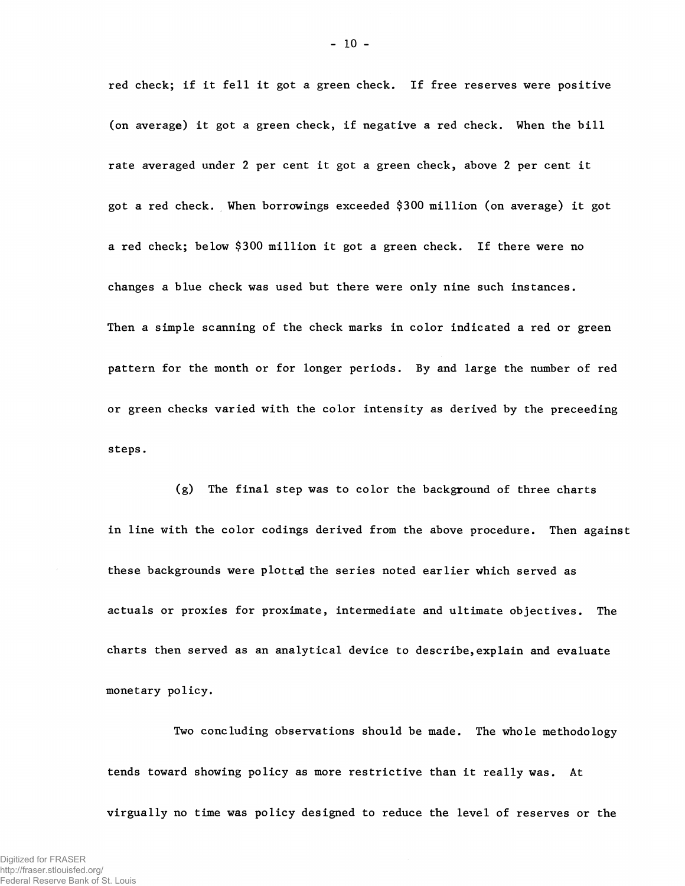red check; if it fell it got a green check. If free reserves were positive (on average) it got a green check, if negative a red check. When the bill rate averaged under 2 per cent it got a green check, above 2 per cent it got a red check. When borrowings exceeded \$300 million (on average) it got a red check; below \$300 million it got a green check. If there were no changes a blue check was used but there were only nine such instances. Then a simple scanning of the check marks in color indicated a red or green pattern for the month or for longer periods. By and large the number of red or green checks varied with the color intensity as derived by the preceeding steps.

(g) The final step was to color the background of three charts in line with the color codings derived from the above procedure. Then against these backgrounds were plotted the series noted earlier which served as actuals or proxies for proximate, intermediate and ultimate objectives. The charts then served as an analytical device to describe,explain and evaluate monetary policy.

Two concluding observations should be made. The whole methodology tends toward showing policy as more restrictive than it really was. At virgually no time was policy designed to reduce the level of reserves or the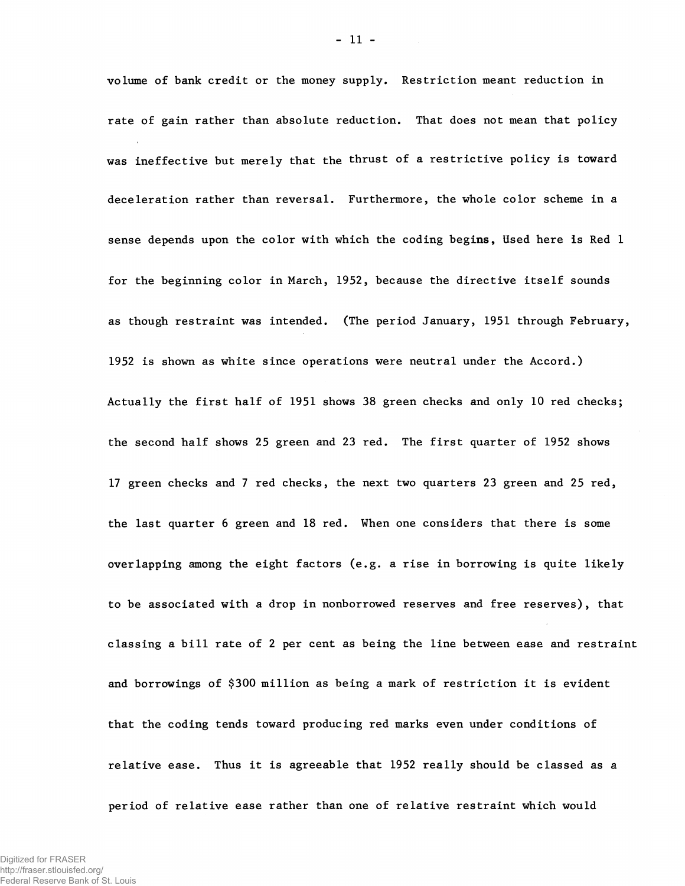volume of bank credit or the money supply. Restriction meant reduction in rate of gain rather than absolute reduction. That does not mean that policy was ineffective but merely that the thrust of a restrictive policy is toward deceleration rather than reversal. Furthermore, the whole color scheme in a sense depends upon the color with which the coding begins, Used here is Red 1 for the beginning color in March, 1952, because the directive itself sounds as though restraint was intended. (The period January, 1951 through February, 1952 is shown as white since operations were neutral under the Accord.) Actually the first half of 1951 shows 38 green checks and only 10 red checks; the second half shows 25 green and 23 red. The first quarter of 1952 shows 17 green checks and 7 red checks, the next two quarters 23 green and 25 red, the last quarter 6 green and 18 red. When one considers that there is some overlapping among the eight factors (e.g. a rise in borrowing is quite likely to be associated with a drop in nonborrowed reserves and free reserves), that classing a bill rate of 2 per cent as being the line between ease and restraint and borrowings of \$300 million as being a mark of restriction it is evident that the coding tends toward producing red marks even under conditions of relative ease. Thus it is agreeable that 1952 really should be classed as a period of relative ease rather than one of relative restraint which would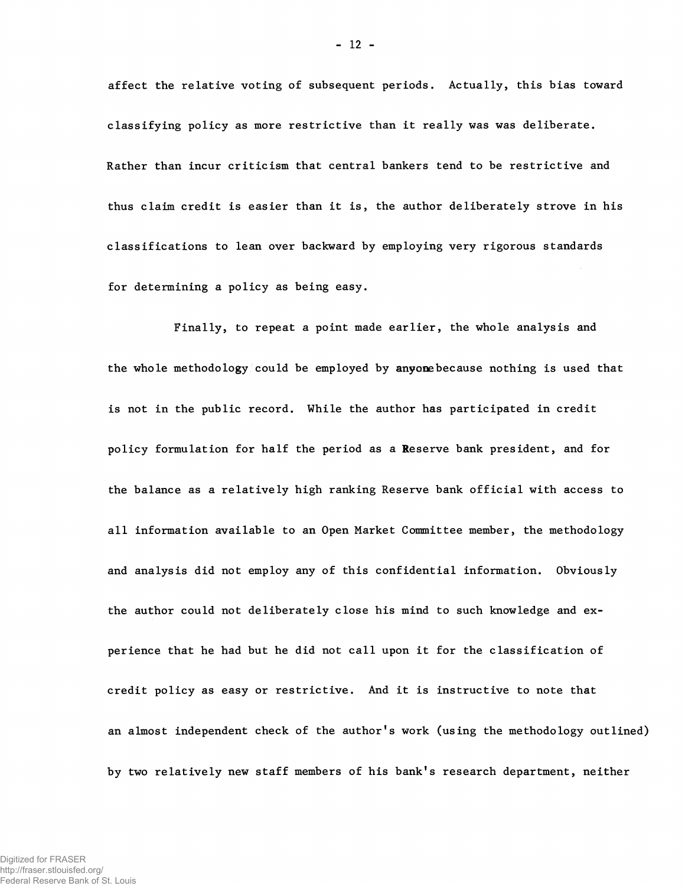affect the relative voting of subsequent periods. Actually, this bias toward classifying policy as more restrictive than it really was was deliberate. Rather than incur criticism that central bankers tend to be restrictive and thus claim credit is easier than it is, the author deliberately strove in his classifications to lean over backward by employing very rigorous standards for determining a policy as being easy.

Finally, to repeat a point made earlier, the whole analysis and the whole methodology could be employed by anyonebecause nothing is used that is not in the public record. While the author has participated in credit policy formulation for half the period as a Reserve bank president, and for the balance as a relatively high ranking Reserve bank official with access to all information available to an Open Market Committee member, the methodology and analysis did not employ any of this confidential information. Obviously the author could not deliberately close his mind to such knowledge and experience that he had but he did not call upon it for the classification of credit policy as easy or restrictive. And it is instructive to note that an almost independent check of the author's work (using the methodology outlined) by two relatively new staff members of his bank's research department, neither